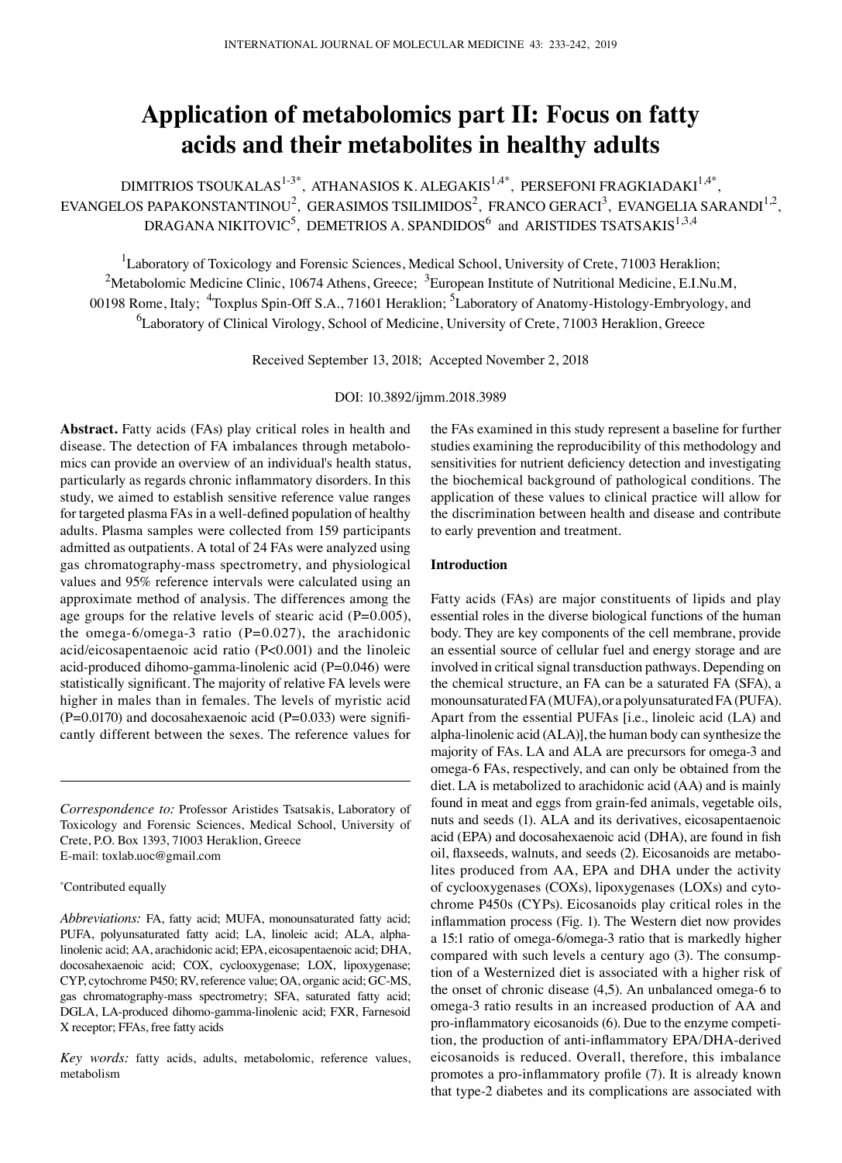# **Application of metabolomics part II: Focus on fatty acids and their metabolites in healthy adults**

DIMITRIOS TSOUKALAS<sup>1-3\*</sup>, ATHANASIOS K. ALEGAKIS<sup>1,4\*</sup>, PERSEFONI FRAGKIADAKI<sup>1,4\*</sup>, EVANGELOS PAPAKONSTANTINOU $^2$ , GERASIMOS TSILIMIDOS $^2$ , FRANCO GERACI $^3$ , EVANGELIA SARANDI $^{1,2}$ , DRAGANA NIKITOVIC $^5$ , DEMETRIOS A. SPANDIDOS $^6$  and ARISTIDES TSATSAKIS $^{1,3,4}$ 

<sup>1</sup>Laboratory of Toxicology and Forensic Sciences, Medical School, University of Crete, 71003 Heraklion; <sup>2</sup>Metabolomic Medicine Clinic, 10674 Athens, Greece;  $\frac{3}{2}$ European Institute of Nutritional Medicine, E.I.Nu.M, 00198 Rome, Italy; <sup>4</sup>Toxplus Spin-Off S.A., 71601 Heraklion; <sup>5</sup>Laboratory of Anatomy-Histology-Embryology, and <sup>6</sup>Laboratory of Clinical Virology, School of Medicine, University of Crete, 71003 Heraklion, Greece

Received September 13, 2018; Accepted November 2, 2018

DOI: 10.3892/ijmm.2018.3989

**Abstract.** Fatty acids (FAs) play critical roles in health and disease. The detection of FA imbalances through metabolomics can provide an overview of an individual's health status, particularly as regards chronic inflammatory disorders. In this study, we aimed to establish sensitive reference value ranges for targeted plasma FAs in a well‑defined population of healthy adults. Plasma samples were collected from 159 participants admitted as outpatients. A total of 24 FAs were analyzed using gas chromatography-mass spectrometry, and physiological values and 95% reference intervals were calculated using an approximate method of analysis. The differences among the age groups for the relative levels of stearic acid  $(P=0.005)$ , the omega-6/omega-3 ratio  $(P=0.027)$ , the arachidonic acid/eicosapentaenoic acid ratio (P<0.001) and the linoleic acid-produced dihomo-gamma-linolenic acid (P=0.046) were statistically significant. The majority of relative FA levels were higher in males than in females. The levels of myristic acid  $(P=0.0170)$  and docosahexaenoic acid  $(P=0.033)$  were significantly different between the sexes. The reference values for

*Correspondence to:* Professor Aristides Tsatsakis, Laboratory of Toxicology and Forensic Sciences, Medical School, University of Crete, P.O. Box 1393, 71003 Heraklion, Greece E-mail: toxlab.uoc@gmail.com

## \* Contributed equally

*Abbreviations:* FA, fatty acid; MUFA, monounsaturated fatty acid; PUFA, polyunsaturated fatty acid; LA, linoleic acid; ALA, alphalinolenic acid; AA, arachidonic acid; EPA, eicosapentaenoic acid; DHA, docosahexaenoic acid; COX, cyclooxygenase; LOX, lipoxygenase; CYP, cytochrome P450; RV, reference value; OA, organic acid; GC-MS, gas chromatography-mass spectrometry; SFA, saturated fatty acid; DGLA, LA-produced dihomo-gamma-linolenic acid; FXR, Farnesoid X receptor; FFAs, free fatty acids

*Key words:* fatty acids, adults, metabolomic, reference values, metabolism

the FAs examined in this study represent a baseline for further studies examining the reproducibility of this methodology and sensitivities for nutrient deficiency detection and investigating the biochemical background of pathological conditions. The application of these values to clinical practice will allow for the discrimination between health and disease and contribute to early prevention and treatment.

## **Introduction**

Fatty acids (FAs) are major constituents of lipids and play essential roles in the diverse biological functions of the human body. They are key components of the cell membrane, provide an essential source of cellular fuel and energy storage and are involved in critical signal transduction pathways. Depending on the chemical structure, an FA can be a saturated FA (SFA), a monounsaturated FA (MUFA), or a polyunsaturated FA(PUFA). Apart from the essential PUFAs [i.e., linoleic acid (LA) and alpha-linolenic acid (ALA)], the human body can synthesize the majority of FAs. LA and ALA are precursors for omega-3 and omega-6 FAs, respectively, and can only be obtained from the diet. LA is metabolized to arachidonic acid (AA) and is mainly found in meat and eggs from grain-fed animals, vegetable oils, nuts and seeds (1). ALA and its derivatives, eicosapentaenoic acid (EPA) and docosahexaenoic acid (DHA), are found in fish oil, flaxseeds, walnuts, and seeds (2). Eicosanoids are metabolites produced from AA, EPA and DHA under the activity of cyclooxygenases (COXs), lipoxygenases (LOXs) and cytochrome P450s (CYPs). Eicosanoids play critical roles in the inflammation process (Fig. 1). The Western diet now provides a 15:1 ratio of omega-6/omega-3 ratio that is markedly higher compared with such levels a century ago (3). The consumption of a Westernized diet is associated with a higher risk of the onset of chronic disease (4,5). An unbalanced omega-6 to omega-3 ratio results in an increased production of AA and pro‑inflammatory eicosanoids (6). Due to the enzyme competition, the production of anti‑inflammatory EPA/DHA‑derived eicosanoids is reduced. Overall, therefore, this imbalance promotes a pro‑inflammatory profile (7). It is already known that type-2 diabetes and its complications are associated with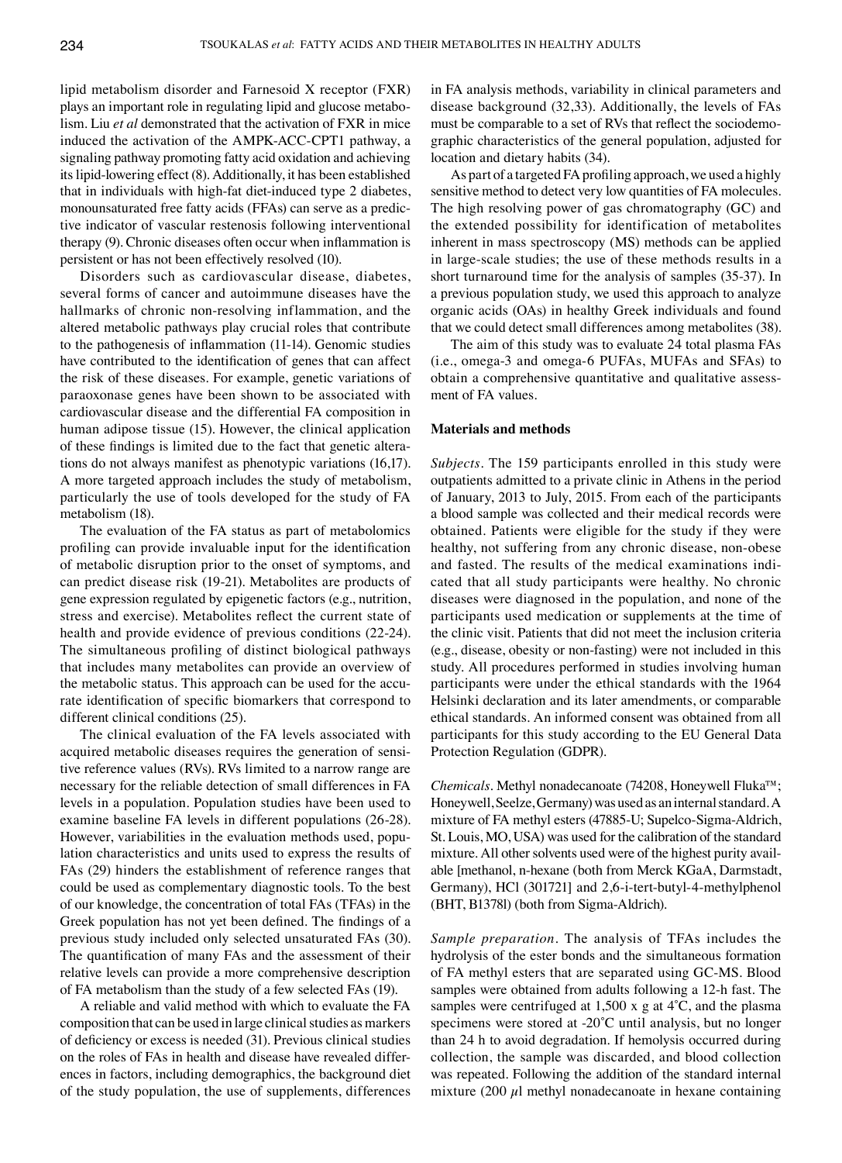lipid metabolism disorder and Farnesoid X receptor (FXR) plays an important role in regulating lipid and glucose metabolism. Liu *et al* demonstrated that the activation of FXR in mice induced the activation of the AMPK-ACC-CPT1 pathway, a signaling pathway promoting fatty acid oxidation and achieving its lipid-lowering effect (8). Additionally, it has been established that in individuals with high-fat diet-induced type 2 diabetes, monounsaturated free fatty acids (FFAs) can serve as a predictive indicator of vascular restenosis following interventional therapy (9). Chronic diseases often occur when inflammation is persistent or has not been effectively resolved (10).

Disorders such as cardiovascular disease, diabetes, several forms of cancer and autoimmune diseases have the hallmarks of chronic non-resolving inflammation, and the altered metabolic pathways play crucial roles that contribute to the pathogenesis of inflammation (11‑14). Genomic studies have contributed to the identification of genes that can affect the risk of these diseases. For example, genetic variations of paraoxonase genes have been shown to be associated with cardiovascular disease and the differential FA composition in human adipose tissue (15). However, the clinical application of these findings is limited due to the fact that genetic alterations do not always manifest as phenotypic variations (16,17). A more targeted approach includes the study of metabolism, particularly the use of tools developed for the study of FA metabolism (18).

The evaluation of the FA status as part of metabolomics profiling can provide invaluable input for the identification of metabolic disruption prior to the onset of symptoms, and can predict disease risk (19-21). Metabolites are products of gene expression regulated by epigenetic factors (e.g., nutrition, stress and exercise). Metabolites reflect the current state of health and provide evidence of previous conditions (22-24). The simultaneous profiling of distinct biological pathways that includes many metabolites can provide an overview of the metabolic status. This approach can be used for the accurate identification of specific biomarkers that correspond to different clinical conditions (25).

The clinical evaluation of the FA levels associated with acquired metabolic diseases requires the generation of sensitive reference values (RVs). RVs limited to a narrow range are necessary for the reliable detection of small differences in FA levels in a population. Population studies have been used to examine baseline FA levels in different populations (26-28). However, variabilities in the evaluation methods used, population characteristics and units used to express the results of FAs (29) hinders the establishment of reference ranges that could be used as complementary diagnostic tools. To the best of our knowledge, the concentration of total FAs (TFAs) in the Greek population has not yet been defined. The findings of a previous study included only selected unsaturated FAs (30). The quantification of many FAs and the assessment of their relative levels can provide a more comprehensive description of FA metabolism than the study of a few selected FAs (19).

A reliable and valid method with which to evaluate the FA composition that can be used in large clinical studies as markers of deficiency or excess is needed (31). Previous clinical studies on the roles of FAs in health and disease have revealed differences in factors, including demographics, the background diet of the study population, the use of supplements, differences in FA analysis methods, variability in clinical parameters and disease background (32,33). Additionally, the levels of FAs must be comparable to a set of RVs that reflect the sociodemographic characteristics of the general population, adjusted for location and dietary habits (34).

As part of a targeted FA profiling approach, we used a highly sensitive method to detect very low quantities of FA molecules. The high resolving power of gas chromatography (GC) and the extended possibility for identification of metabolites inherent in mass spectroscopy (MS) methods can be applied in large-scale studies; the use of these methods results in a short turnaround time for the analysis of samples (35-37). In a previous population study, we used this approach to analyze organic acids (OAs) in healthy Greek individuals and found that we could detect small differences among metabolites (38).

The aim of this study was to evaluate 24 total plasma FAs (i.e., omega-3 and omega-6 PUFAs, MUFAs and SFAs) to obtain a comprehensive quantitative and qualitative assessment of FA values.

## **Materials and methods**

*Subjects.* The 159 participants enrolled in this study were outpatients admitted to a private clinic in Athens in the period of January, 2013 to July, 2015. From each of the participants a blood sample was collected and their medical records were obtained. Patients were eligible for the study if they were healthy, not suffering from any chronic disease, non-obese and fasted. The results of the medical examinations indicated that all study participants were healthy. No chronic diseases were diagnosed in the population, and none of the participants used medication or supplements at the time of the clinic visit. Patients that did not meet the inclusion criteria (e.g., disease, obesity or non-fasting) were not included in this study. All procedures performed in studies involving human participants were under the ethical standards with the 1964 Helsinki declaration and its later amendments, or comparable ethical standards. An informed consent was obtained from all participants for this study according to the EU General Data Protection Regulation (GDPR).

*Chemicals.* Methyl nonadecanoate (74208, Honeywell Fluka™; Honeywell, Seelze, Germany) was used as an internal standard. A mixture of FA methyl esters (47885-U; Supelco-Sigma-Aldrich, St. Louis, MO, USA) was used for the calibration of the standard mixture. All other solvents used were of the highest purity available [methanol, n-hexane (both from Merck KGaA, Darmstadt, Germany), HCl (301721] and 2,6-i-tert-butyl-4-methylphenol (BHT, B1378l) (both from Sigma-Aldrich).

*Sample preparation.* The analysis of TFAs includes the hydrolysis of the ester bonds and the simultaneous formation of FA methyl esters that are separated using GC-MS. Blood samples were obtained from adults following a 12-h fast. The samples were centrifuged at 1,500 x g at 4˚C, and the plasma specimens were stored at -20°C until analysis, but no longer than 24 h to avoid degradation. If hemolysis occurred during collection, the sample was discarded, and blood collection was repeated. Following the addition of the standard internal mixture  $(200 \mu l \text{ methyl nonadecanoate in hexane containing})$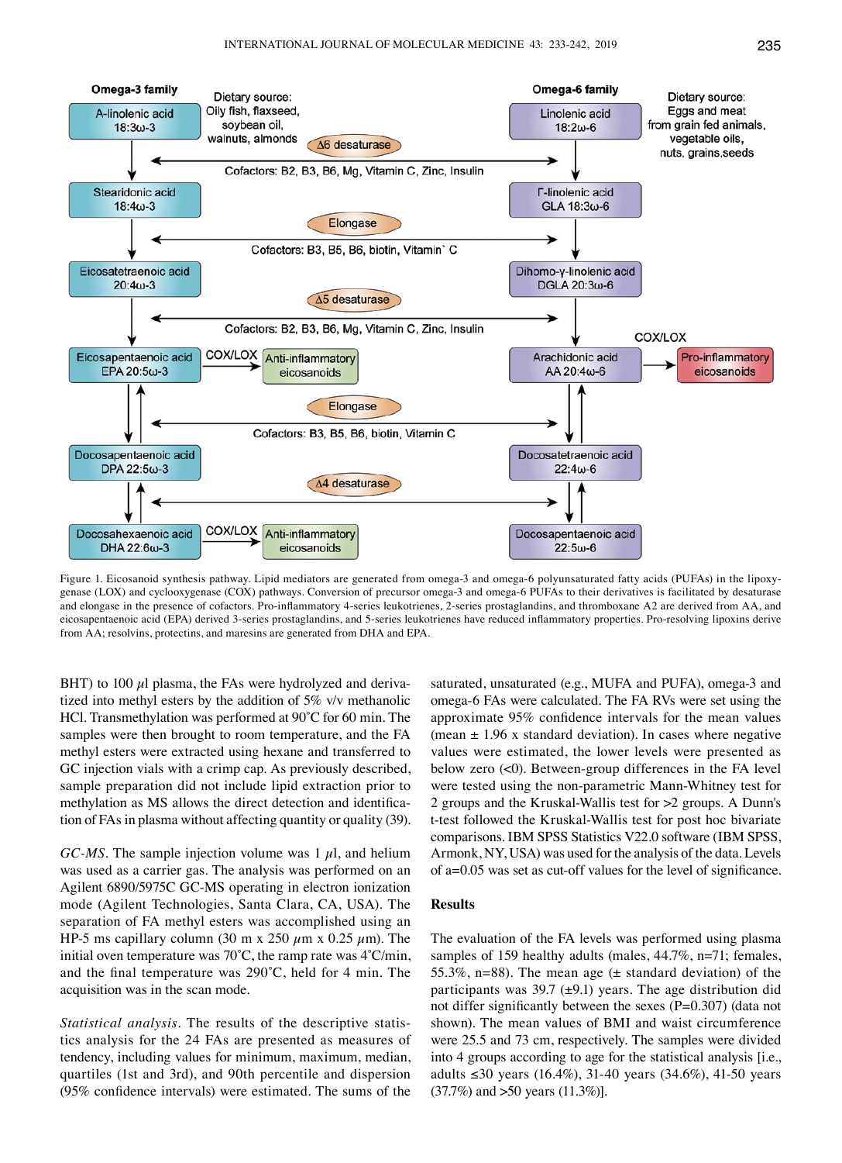

Figure 1. Eicosanoid synthesis pathway. Lipid mediators are generated from omega-3 and omega-6 polyunsaturated fatty acids (PUFAs) in the lipoxygenase (LOX) and cyclooxygenase (COX) pathways. Conversion of precursor omega-3 and omega-6 PUFAs to their derivatives is facilitated by desaturase and elongase in the presence of cofactors. Pro-inflammatory 4-series leukotrienes, 2-series prostaglandins, and thromboxane A2 are derived from AA, and eicosapentaenoic acid (EPA) derived 3‑series prostaglandins, and 5‑series leukotrienes have reduced inflammatory properties. Pro‑resolving lipoxins derive from AA; resolvins, protectins, and maresins are generated from DHA and EPA.

BHT) to 100  $\mu$ l plasma, the FAs were hydrolyzed and derivatized into methyl esters by the addition of 5% v/v methanolic HCl. Transmethylation was performed at 90˚C for 60 min. The samples were then brought to room temperature, and the FA methyl esters were extracted using hexane and transferred to GC injection vials with a crimp cap. As previously described, sample preparation did not include lipid extraction prior to methylation as MS allows the direct detection and identification of FAs in plasma without affecting quantity or quality (39).

*GC*–*MS*. The sample injection volume was 1  $\mu$ l, and helium was used as a carrier gas. The analysis was performed on an Agilent 6890/5975C GC-MS operating in electron ionization mode (Agilent Technologies, Santa Clara, CA, USA). The separation of FA methyl esters was accomplished using an HP-5 ms capillary column (30 m x 250  $\mu$ m x 0.25  $\mu$ m). The initial oven temperature was  $70^{\circ}$ C, the ramp rate was  $4^{\circ}$ C/min, and the final temperature was 290˚C, held for 4 min. The acquisition was in the scan mode.

*Statistical analysis.* The results of the descriptive statistics analysis for the 24 FAs are presented as measures of tendency, including values for minimum, maximum, median, quartiles (1st and 3rd), and 90th percentile and dispersion (95% confidence intervals) were estimated. The sums of the saturated, unsaturated (e.g., MUFA and PUFA), omega-3 and omega-6 FAs were calculated. The FA RVs were set using the approximate 95% confidence intervals for the mean values (mean  $\pm$  1.96 x standard deviation). In cases where negative values were estimated, the lower levels were presented as below zero (<0). Between-group differences in the FA level were tested using the non-parametric Mann-Whitney test for 2 groups and the Kruskal‑Wallis test for >2 groups. A Dunn's t-test followed the Kruskal‑Wallis test for post hoc bivariate comparisons. IBM SPSS Statistics V22.0 software (IBM SPSS, Armonk, NY, USA) was used for the analysis of the data. Levels of a=0.05 was set as cut‑off values for the level of significance.

## **Results**

The evaluation of the FA levels was performed using plasma samples of 159 healthy adults (males, 44.7%, n=71; females, 55.3%, n=88). The mean age  $(\pm$  standard deviation) of the participants was  $39.7 \left( \pm 9.1 \right)$  years. The age distribution did not differ significantly between the sexes (P=0.307) (data not shown). The mean values of BMI and waist circumference were 25.5 and 73 cm, respectively. The samples were divided into 4 groups according to age for the statistical analysis [i.e., adults ≤30 years (16.4%), 31‑40 years (34.6%), 41‑50 years (37.7%) and >50 years (11.3%)].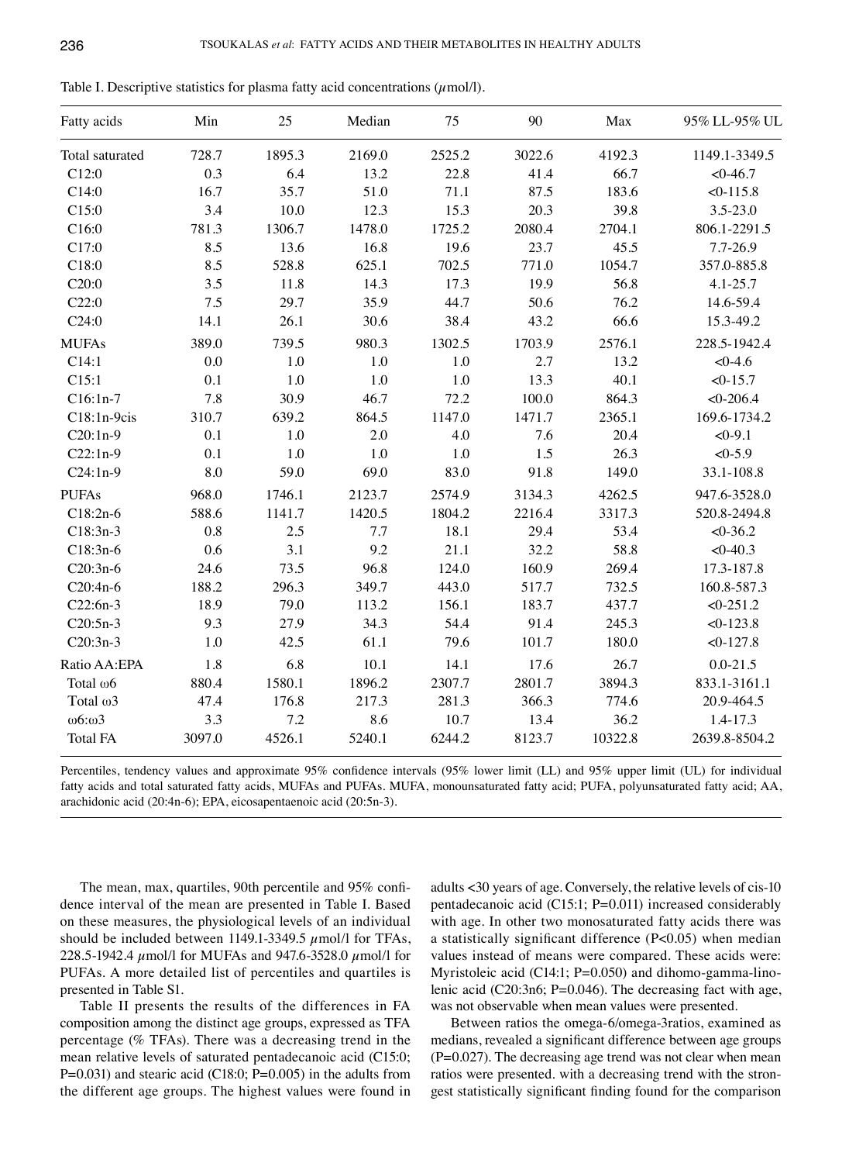| Fatty acids            | Min     | 25     | Median | 75     | 90     | Max     | 95% LL-95% UL |
|------------------------|---------|--------|--------|--------|--------|---------|---------------|
| Total saturated        | 728.7   | 1895.3 | 2169.0 | 2525.2 | 3022.6 | 4192.3  | 1149.1-3349.5 |
| C12:0                  | 0.3     | 6.4    | 13.2   | 22.8   | 41.4   | 66.7    | <0.46.7       |
| C14:0                  | 16.7    | 35.7   | 51.0   | 71.1   | 87.5   | 183.6   | $<0-115.8$    |
| C15:0                  | 3.4     | 10.0   | 12.3   | 15.3   | 20.3   | 39.8    | $3.5 - 23.0$  |
| C16:0                  | 781.3   | 1306.7 | 1478.0 | 1725.2 | 2080.4 | 2704.1  | 806.1-2291.5  |
| C17:0                  | 8.5     | 13.6   | 16.8   | 19.6   | 23.7   | 45.5    | 7.7-26.9      |
| C18:0                  | 8.5     | 528.8  | 625.1  | 702.5  | 771.0  | 1054.7  | 357.0-885.8   |
| C20:0                  | 3.5     | 11.8   | 14.3   | 17.3   | 19.9   | 56.8    | $4.1 - 25.7$  |
| C22:0                  | 7.5     | 29.7   | 35.9   | 44.7   | 50.6   | 76.2    | 14.6-59.4     |
| C24:0                  | 14.1    | 26.1   | 30.6   | 38.4   | 43.2   | 66.6    | 15.3-49.2     |
| <b>MUFAs</b>           | 389.0   | 739.5  | 980.3  | 1302.5 | 1703.9 | 2576.1  | 228.5-1942.4  |
| C14:1                  | 0.0     | 1.0    | 1.0    | 1.0    | 2.7    | 13.2    | <0.4.6        |
| C15:1                  | 0.1     | 1.0    | 1.0    | 1.0    | 13.3   | 40.1    | $<0-15.7$     |
| $C16:1n-7$             | 7.8     | 30.9   | 46.7   | 72.2   | 100.0  | 864.3   | $<0-206.4$    |
| C18:1n-9cis            | 310.7   | 639.2  | 864.5  | 1147.0 | 1471.7 | 2365.1  | 169.6-1734.2  |
| $C20:1n-9$             | 0.1     | 1.0    | 2.0    | 4.0    | 7.6    | 20.4    | $<0-9.1$      |
| $C22:1n-9$             | 0.1     | 1.0    | 1.0    | 1.0    | 1.5    | 26.3    | $<0-5.9$      |
| $C24:1n-9$             | 8.0     | 59.0   | 69.0   | 83.0   | 91.8   | 149.0   | 33.1-108.8    |
| <b>PUFAs</b>           | 968.0   | 1746.1 | 2123.7 | 2574.9 | 3134.3 | 4262.5  | 947.6-3528.0  |
| $C18:2n-6$             | 588.6   | 1141.7 | 1420.5 | 1804.2 | 2216.4 | 3317.3  | 520.8-2494.8  |
| $C18:3n-3$             | $0.8\,$ | 2.5    | 7.7    | 18.1   | 29.4   | 53.4    | $<0-36.2$     |
| $C18:3n-6$             | 0.6     | 3.1    | 9.2    | 21.1   | 32.2   | 58.8    | <0.40.3       |
| $C20:3n-6$             | 24.6    | 73.5   | 96.8   | 124.0  | 160.9  | 269.4   | 17.3-187.8    |
| $C20:4n-6$             | 188.2   | 296.3  | 349.7  | 443.0  | 517.7  | 732.5   | 160.8-587.3   |
| $C22:6n-3$             | 18.9    | 79.0   | 113.2  | 156.1  | 183.7  | 437.7   | $<0-251.2$    |
| $C20:5n-3$             | 9.3     | 27.9   | 34.3   | 54.4   | 91.4   | 245.3   | $<0-123.8$    |
| $C20:3n-3$             | 1.0     | 42.5   | 61.1   | 79.6   | 101.7  | 180.0   | $<0-127.8$    |
| Ratio AA:EPA           | 1.8     | 6.8    | 10.1   | 14.1   | 17.6   | 26.7    | $0.0 - 21.5$  |
| Total ω6               | 880.4   | 1580.1 | 1896.2 | 2307.7 | 2801.7 | 3894.3  | 833.1-3161.1  |
| Total ω3               | 47.4    | 176.8  | 217.3  | 281.3  | 366.3  | 774.6   | 20.9-464.5    |
| $\omega$ 6: $\omega$ 3 | 3.3     | 7.2    | 8.6    | 10.7   | 13.4   | 36.2    | 1.4-17.3      |
| <b>Total FA</b>        | 3097.0  | 4526.1 | 5240.1 | 6244.2 | 8123.7 | 10322.8 | 2639.8-8504.2 |

Table I. Descriptive statistics for plasma fatty acid concentrations  $(\mu \text{mol/l})$ .

Percentiles, tendency values and approximate 95% confidence intervals (95% lower limit (LL) and 95% upper limit (UL) for individual fatty acids and total saturated fatty acids, MUFAs and PUFAs. MUFA, monounsaturated fatty acid; PUFA, polyunsaturated fatty acid; AA, arachidonic acid (20:4n-6); EPA, eicosapentaenoic acid (20:5n-3).

The mean, max, quartiles, 90th percentile and 95% confidence interval of the mean are presented in Table I. Based on these measures, the physiological levels of an individual should be included between 1149.1-3349.5  $\mu$ mol/l for TFAs, 228.5-1942.4  $\mu$ mol/l for MUFAs and 947.6-3528.0  $\mu$ mol/l for PUFAs. A more detailed list of percentiles and quartiles is presented in Table S1.

Table II presents the results of the differences in FA composition among the distinct age groups, expressed as TFA percentage (% TFAs). There was a decreasing trend in the mean relative levels of saturated pentadecanoic acid (C15:0; P=0.031) and stearic acid (C18:0; P=0.005) in the adults from the different age groups. The highest values were found in adults <30 years of age. Conversely, the relative levels of cis-10 pentadecanoic acid (C15:1; P=0.011) increased considerably with age. In other two monosaturated fatty acids there was a statistically significant difference (P<0.05) when median values instead of means were compared. These acids were: Myristoleic acid (C14:1; P=0.050) and dihomo-gamma-linolenic acid (C20:3n6; P=0.046). The decreasing fact with age, was not observable when mean values were presented.

Between ratios the omega-6/omega-3ratios, examined as medians, revealed a significant difference between age groups  $(P=0.027)$ . The decreasing age trend was not clear when mean ratios were presented. with a decreasing trend with the strongest statistically significant finding found for the comparison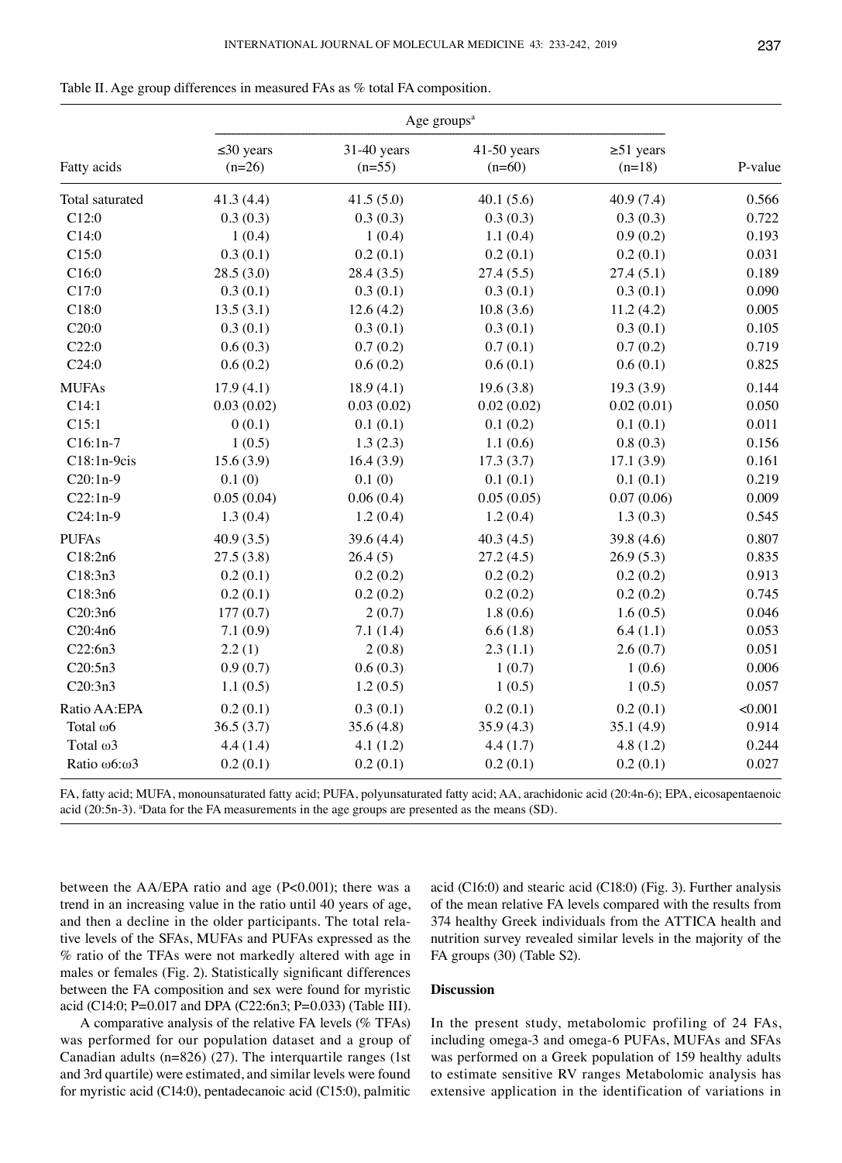|                  | Age groups <sup>a</sup>     |                           |                           |                             |         |  |
|------------------|-----------------------------|---------------------------|---------------------------|-----------------------------|---------|--|
| Fatty acids      | $\leq 30$ years<br>$(n=26)$ | $31-40$ years<br>$(n=55)$ | $41-50$ years<br>$(n=60)$ | $\geq 51$ years<br>$(n=18)$ | P-value |  |
| Total saturated  | 41.3 (4.4)                  | 41.5(5.0)                 | 40.1(5.6)                 | 40.9 (7.4)                  | 0.566   |  |
| C12:0            | 0.3(0.3)                    | 0.3(0.3)                  | 0.3(0.3)                  | 0.3(0.3)                    | 0.722   |  |
| C14:0            | 1(0.4)                      | 1(0.4)                    | 1.1(0.4)                  | 0.9(0.2)                    | 0.193   |  |
| C15:0            | 0.3(0.1)                    | 0.2(0.1)                  | 0.2(0.1)                  | 0.2(0.1)                    | 0.031   |  |
| C16:0            | 28.5(3.0)                   | 28.4(3.5)                 | 27.4(5.5)                 | 27.4(5.1)                   | 0.189   |  |
| C17:0            | 0.3(0.1)                    | 0.3(0.1)                  | 0.3(0.1)                  | 0.3(0.1)                    | 0.090   |  |
| C18:0            | 13.5(3.1)                   | 12.6(4.2)                 | 10.8(3.6)                 | 11.2(4.2)                   | 0.005   |  |
| C20:0            | 0.3(0.1)                    | 0.3(0.1)                  | 0.3(0.1)                  | 0.3(0.1)                    | 0.105   |  |
| C22:0            | 0.6(0.3)                    | 0.7(0.2)                  | 0.7(0.1)                  | 0.7(0.2)                    | 0.719   |  |
| C24:0            | 0.6(0.2)                    | 0.6(0.2)                  | 0.6(0.1)                  | 0.6(0.1)                    | 0.825   |  |
| <b>MUFAs</b>     | 17.9(4.1)                   | 18.9(4.1)                 | 19.6(3.8)                 | 19.3(3.9)                   | 0.144   |  |
| C14:1            | 0.03(0.02)                  | 0.03(0.02)                | 0.02(0.02)                | 0.02(0.01)                  | 0.050   |  |
| C15:1            | 0(0.1)                      | 0.1(0.1)                  | 0.1(0.2)                  | 0.1(0.1)                    | 0.011   |  |
| $C16:1n-7$       | 1(0.5)                      | 1.3(2.3)                  | 1.1(0.6)                  | 0.8(0.3)                    | 0.156   |  |
| $C18:1n-9cis$    | 15.6(3.9)                   | 16.4(3.9)                 | 17.3(3.7)                 | 17.1(3.9)                   | 0.161   |  |
| $C20:1n-9$       | 0.1(0)                      | 0.1(0)                    | 0.1(0.1)                  | 0.1(0.1)                    | 0.219   |  |
| $C22:1n-9$       | 0.05(0.04)                  | 0.06(0.4)                 | 0.05(0.05)                | 0.07(0.06)                  | 0.009   |  |
| $C24:1n-9$       | 1.3(0.4)                    | 1.2(0.4)                  | 1.2(0.4)                  | 1.3(0.3)                    | 0.545   |  |
| <b>PUFAs</b>     | 40.9(3.5)                   | 39.6 (4.4)                | 40.3(4.5)                 | 39.8 (4.6)                  | 0.807   |  |
| C18:2n6          | 27.5(3.8)                   | 26.4(5)                   | 27.2(4.5)                 | 26.9(5.3)                   | 0.835   |  |
| C18:3n3          | 0.2(0.1)                    | 0.2(0.2)                  | 0.2(0.2)                  | 0.2(0.2)                    | 0.913   |  |
| C18:3n6          | 0.2(0.1)                    | 0.2(0.2)                  | 0.2(0.2)                  | 0.2(0.2)                    | 0.745   |  |
| C20:3n6          | 177(0.7)                    | 2(0.7)                    | 1.8(0.6)                  | 1.6(0.5)                    | 0.046   |  |
| C20:4n6          | 7.1(0.9)                    | 7.1(1.4)                  | 6.6(1.8)                  | 6.4(1.1)                    | 0.053   |  |
| C22:6n3          | 2.2(1)                      | 2(0.8)                    | 2.3(1.1)                  | 2.6(0.7)                    | 0.051   |  |
| C20:5n3          | 0.9(0.7)                    | 0.6(0.3)                  | 1(0.7)                    | 1(0.6)                      | 0.006   |  |
| C20:3n3          | 1.1(0.5)                    | 1.2(0.5)                  | 1(0.5)                    | 1(0.5)                      | 0.057   |  |
| Ratio AA:EPA     | 0.2(0.1)                    | 0.3(0.1)                  | 0.2(0.1)                  | 0.2(0.1)                    | < 0.001 |  |
| Total $\omega$ 6 | 36.5(3.7)                   | 35.6(4.8)                 | 35.9(4.3)                 | 35.1(4.9)                   | 0.914   |  |
| Total $\omega$ 3 | 4.4(1.4)                    | 4.1(1.2)                  | 4.4(1.7)                  | 4.8(1.2)                    | 0.244   |  |
| Ratio ω6:ω3      | 0.2(0.1)                    | 0.2(0.1)                  | 0.2(0.1)                  | 0.2(0.1)                    | 0.027   |  |

| Table II. Age group differences in measured FAs as % total FA composition. |  |
|----------------------------------------------------------------------------|--|
|----------------------------------------------------------------------------|--|

FA, fatty acid; MUFA, monounsaturated fatty acid; PUFA, polyunsaturated fatty acid; AA, arachidonic acid (20:4n-6); EPA, eicosapentaenoic acid (20:5n-3). <sup>a</sup>Data for the FA measurements in the age groups are presented as the means (SD).

between the AA/EPA ratio and age (P<0.001); there was a trend in an increasing value in the ratio until 40 years of age, and then a decline in the older participants. The total relative levels of the SFAs, MUFAs and PUFAs expressed as the % ratio of the TFAs were not markedly altered with age in males or females (Fig. 2). Statistically significant differences between the FA composition and sex were found for myristic acid (C14:0; P=0.017 and DPA (C22:6n3; P=0.033) (Table III).

A comparative analysis of the relative FA levels (% TFAs) was performed for our population dataset and a group of Canadian adults (n=826) (27). The interquartile ranges (1st and 3rd quartile) were estimated, and similar levels were found for myristic acid (C14:0), pentadecanoic acid (C15:0), palmitic acid (C16:0) and stearic acid (C18:0) (Fig. 3). Further analysis of the mean relative FA levels compared with the results from 374 healthy Greek individuals from the ATTICA health and nutrition survey revealed similar levels in the majority of the FA groups (30) (Table S2).

# **Discussion**

In the present study, metabolomic profiling of 24 FAs, including omega-3 and omega-6 PUFAs, MUFAs and SFAs was performed on a Greek population of 159 healthy adults to estimate sensitive RV ranges Metabolomic analysis has extensive application in the identification of variations in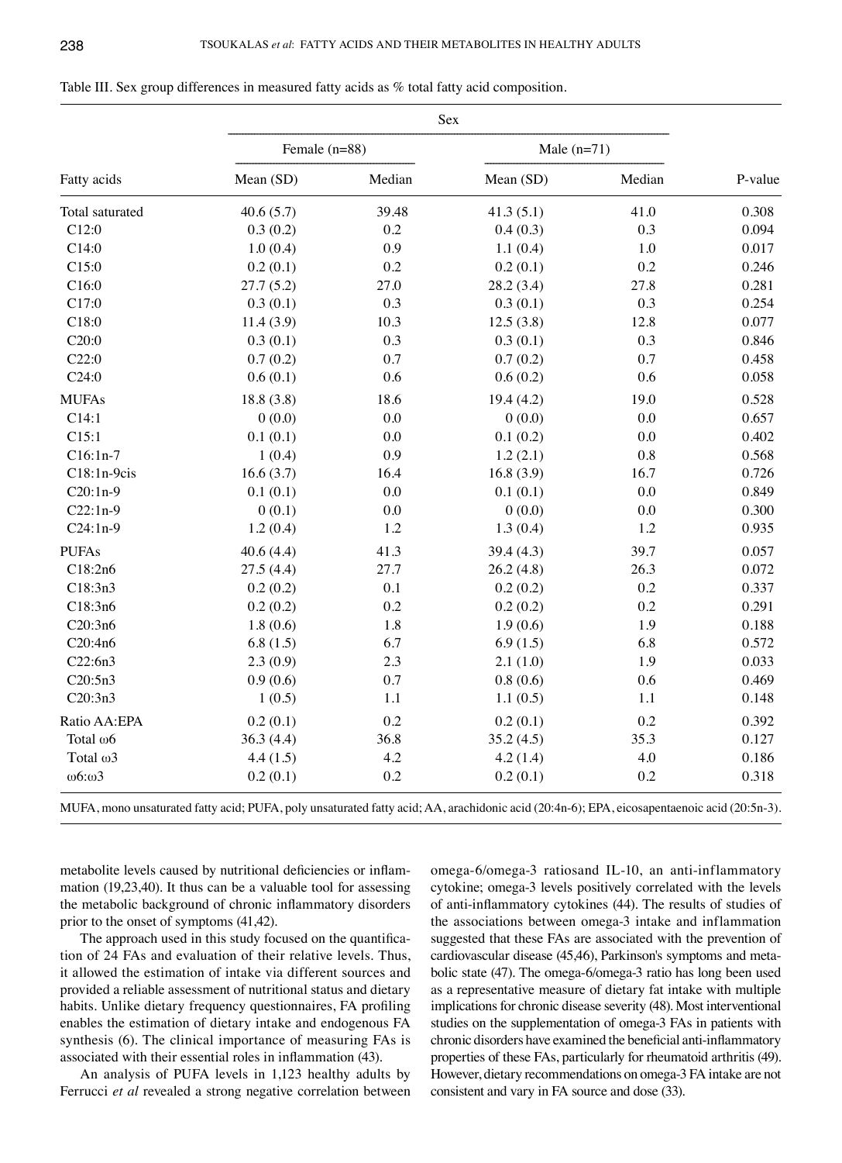|                        | Sex             |         |               |         |         |  |
|------------------------|-----------------|---------|---------------|---------|---------|--|
| Fatty acids            | Female $(n=88)$ |         | Male $(n=71)$ |         |         |  |
|                        | Mean (SD)       | Median  | Mean (SD)     | Median  | P-value |  |
| Total saturated        | 40.6(5.7)       | 39.48   | 41.3(5.1)     | 41.0    | 0.308   |  |
| C12:0                  | 0.3(0.2)        | 0.2     | 0.4(0.3)      | 0.3     | 0.094   |  |
| C14:0                  | 1.0(0.4)        | 0.9     | 1.1(0.4)      | 1.0     | 0.017   |  |
| C15:0                  | 0.2(0.1)        | 0.2     | 0.2(0.1)      | 0.2     | 0.246   |  |
| C16:0                  | 27.7(5.2)       | 27.0    | 28.2 (3.4)    | 27.8    | 0.281   |  |
| C17:0                  | 0.3(0.1)        | 0.3     | 0.3(0.1)      | 0.3     | 0.254   |  |
| C18:0                  | 11.4(3.9)       | 10.3    | 12.5(3.8)     | 12.8    | 0.077   |  |
| C20:0                  | 0.3(0.1)        | 0.3     | 0.3(0.1)      | 0.3     | 0.846   |  |
| C22:0                  | 0.7(0.2)        | 0.7     | 0.7(0.2)      | 0.7     | 0.458   |  |
| C24:0                  | 0.6(0.1)        | 0.6     | 0.6(0.2)      | 0.6     | 0.058   |  |
| <b>MUFAs</b>           | 18.8(3.8)       | 18.6    | 19.4 (4.2)    | 19.0    | 0.528   |  |
| C14:1                  | 0(0.0)          | 0.0     | 0(0.0)        | 0.0     | 0.657   |  |
| C15:1                  | 0.1(0.1)        | $0.0\,$ | 0.1(0.2)      | $0.0\,$ | 0.402   |  |
| $C16:1n-7$             | 1(0.4)          | 0.9     | 1.2(2.1)      | $0.8\,$ | 0.568   |  |
| C18:1n-9cis            | 16.6(3.7)       | 16.4    | 16.8(3.9)     | 16.7    | 0.726   |  |
| $C20:1n-9$             | 0.1(0.1)        | 0.0     | 0.1(0.1)      | 0.0     | 0.849   |  |
| $C22:1n-9$             | 0(0.1)          | $0.0\,$ | 0(0.0)        | 0.0     | 0.300   |  |
| $C24:1n-9$             | 1.2(0.4)        | 1.2     | 1.3(0.4)      | 1.2     | 0.935   |  |
| <b>PUFAs</b>           | 40.6(4.4)       | 41.3    | 39.4(4.3)     | 39.7    | 0.057   |  |
| C18:2n6                | 27.5(4.4)       | 27.7    | 26.2(4.8)     | 26.3    | 0.072   |  |
| C18:3n3                | 0.2(0.2)        | 0.1     | 0.2(0.2)      | 0.2     | 0.337   |  |
| C18:3n6                | 0.2(0.2)        | 0.2     | 0.2(0.2)      | 0.2     | 0.291   |  |
| C20:3n6                | 1.8(0.6)        | 1.8     | 1.9(0.6)      | 1.9     | 0.188   |  |
| C20:4n6                | 6.8(1.5)        | 6.7     | 6.9(1.5)      | 6.8     | 0.572   |  |
| C22:6n3                | 2.3(0.9)        | 2.3     | 2.1(1.0)      | 1.9     | 0.033   |  |
| C20:5n3                | 0.9(0.6)        | 0.7     | 0.8(0.6)      | 0.6     | 0.469   |  |
| C20:3n3                | 1(0.5)          | 1.1     | 1.1(0.5)      | 1.1     | 0.148   |  |
| Ratio AA:EPA           | 0.2(0.1)        | 0.2     | 0.2(0.1)      | 0.2     | 0.392   |  |
| Total ω6               | 36.3(4.4)       | 36.8    | 35.2(4.5)     | 35.3    | 0.127   |  |
| Total ω3               | 4.4(1.5)        | 4.2     | 4.2(1.4)      | 4.0     | 0.186   |  |
| $\omega$ 6: $\omega$ 3 | 0.2(0.1)        | 0.2     | 0.2(0.1)      | 0.2     | 0.318   |  |

| Table III. Sex group differences in measured fatty acids as $%$ total fatty acid composition. |  |  |  |
|-----------------------------------------------------------------------------------------------|--|--|--|
|-----------------------------------------------------------------------------------------------|--|--|--|

MUFA, mono unsaturated fatty acid; PUFA, poly unsaturated fatty acid; AA, arachidonic acid (20:4n-6); EPA, eicosapentaenoic acid (20:5n-3).

metabolite levels caused by nutritional deficiencies or inflammation (19,23,40). It thus can be a valuable tool for assessing the metabolic background of chronic inflammatory disorders prior to the onset of symptoms (41,42).

The approach used in this study focused on the quantification of 24 FAs and evaluation of their relative levels. Thus, it allowed the estimation of intake via different sources and provided a reliable assessment of nutritional status and dietary habits. Unlike dietary frequency questionnaires, FA profiling enables the estimation of dietary intake and endogenous FA synthesis (6). The clinical importance of measuring FAs is associated with their essential roles in inflammation (43).

An analysis of PUFA levels in 1,123 healthy adults by Ferrucci *et al* revealed a strong negative correlation between omega-6/omega-3 ratiosand IL-10, an anti-inflammatory cytokine; omega-3 levels positively correlated with the levels of anti-inflammatory cytokines (44). The results of studies of the associations between omega-3 intake and inflammation suggested that these FAs are associated with the prevention of cardiovascular disease (45,46), Parkinson's symptoms and metabolic state (47). The omega-6/omega-3 ratio has long been used as a representative measure of dietary fat intake with multiple implications for chronic disease severity (48). Most interventional studies on the supplementation of omega-3 FAs in patients with chronic disorders have examined the beneficial anti‑inflammatory properties of these FAs, particularly for rheumatoid arthritis (49). However, dietary recommendations on omega-3 FA intake are not consistent and vary in FA source and dose (33).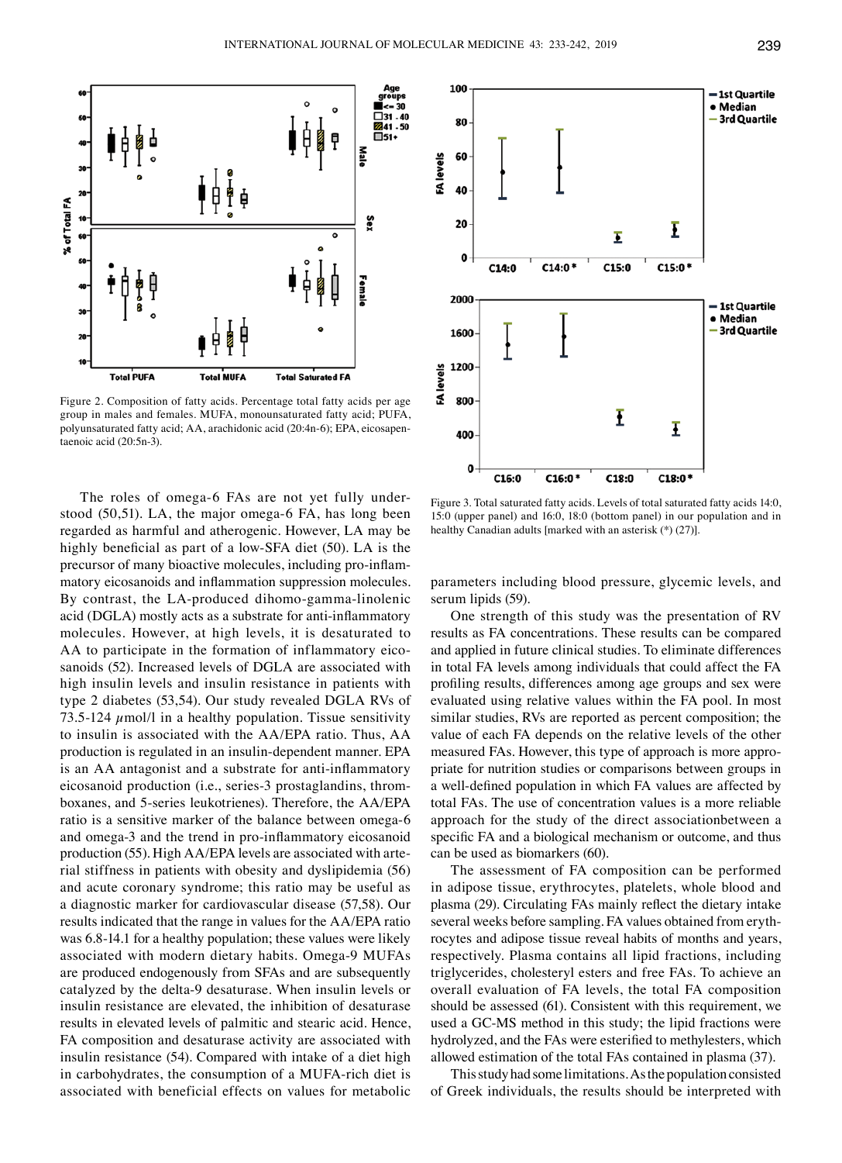

Figure 2. Composition of fatty acids. Percentage total fatty acids per age group in males and females. MUFA, monounsaturated fatty acid; PUFA, polyunsaturated fatty acid; AA, arachidonic acid (20:4n-6); EPA, eicosapentaenoic acid (20:5n-3).

The roles of omega-6 FAs are not yet fully understood (50,51). LA, the major omega-6 FA, has long been regarded as harmful and atherogenic. However, LA may be highly beneficial as part of a low‑SFA diet (50). LA is the precursor of many bioactive molecules, including pro‑inflammatory eicosanoids and inflammation suppression molecules. By contrast, the LA-produced dihomo-gamma-linolenic acid (DGLA) mostly acts as a substrate for anti‑inflammatory molecules. However, at high levels, it is desaturated to AA to participate in the formation of inflammatory eicosanoids (52). Increased levels of DGLA are associated with high insulin levels and insulin resistance in patients with type 2 diabetes (53,54). Our study revealed DGLA RVs of 73.5-124  $\mu$ mol/l in a healthy population. Tissue sensitivity to insulin is associated with the AA/EPA ratio. Thus, AA production is regulated in an insulin-dependent manner. EPA is an AA antagonist and a substrate for anti-inflammatory eicosanoid production (i.e., series-3 prostaglandins, thromboxanes, and 5-series leukotrienes). Therefore, the AA/EPA ratio is a sensitive marker of the balance between omega-6 and omega‑3 and the trend in pro‑inflammatory eicosanoid production (55). High AA/EPA levels are associated with arterial stiffness in patients with obesity and dyslipidemia (56) and acute coronary syndrome; this ratio may be useful as a diagnostic marker for cardiovascular disease (57,58). Our results indicated that the range in values for the AA/EPA ratio was 6.8-14.1 for a healthy population; these values were likely associated with modern dietary habits. Omega-9 MUFAs are produced endogenously from SFAs and are subsequently catalyzed by the delta‑9 desaturase. When insulin levels or insulin resistance are elevated, the inhibition of desaturase results in elevated levels of palmitic and stearic acid. Hence, FA composition and desaturase activity are associated with insulin resistance (54). Compared with intake of a diet high in carbohydrates, the consumption of a MUFA-rich diet is associated with beneficial effects on values for metabolic



Figure 3. Total saturated fatty acids. Levels of total saturated fatty acids 14:0, 15:0 (upper panel) and 16:0, 18:0 (bottom panel) in our population and in healthy Canadian adults [marked with an asterisk (\*) (27)].

parameters including blood pressure, glycemic levels, and serum lipids (59).

One strength of this study was the presentation of RV results as FA concentrations. These results can be compared and applied in future clinical studies. To eliminate differences in total FA levels among individuals that could affect the FA profiling results, differences among age groups and sex were evaluated using relative values within the FA pool. In most similar studies, RVs are reported as percent composition; the value of each FA depends on the relative levels of the other measured FAs. However, this type of approach is more appropriate for nutrition studies or comparisons between groups in a well‑defined population in which FA values are affected by total FAs. The use of concentration values is a more reliable approach for the study of the direct associationbetween a specific FA and a biological mechanism or outcome, and thus can be used as biomarkers (60).

The assessment of FA composition can be performed in adipose tissue, erythrocytes, platelets, whole blood and plasma (29). Circulating FAs mainly reflect the dietary intake several weeks before sampling. FA values obtained from erythrocytes and adipose tissue reveal habits of months and years, respectively. Plasma contains all lipid fractions, including triglycerides, cholesteryl esters and free FAs. To achieve an overall evaluation of FA levels, the total FA composition should be assessed (61). Consistent with this requirement, we used a GC-MS method in this study; the lipid fractions were hydrolyzed, and the FAs were esterified to methylesters, which allowed estimation of the total FAs contained in plasma (37).

This study had some limitations. As the population consisted of Greek individuals, the results should be interpreted with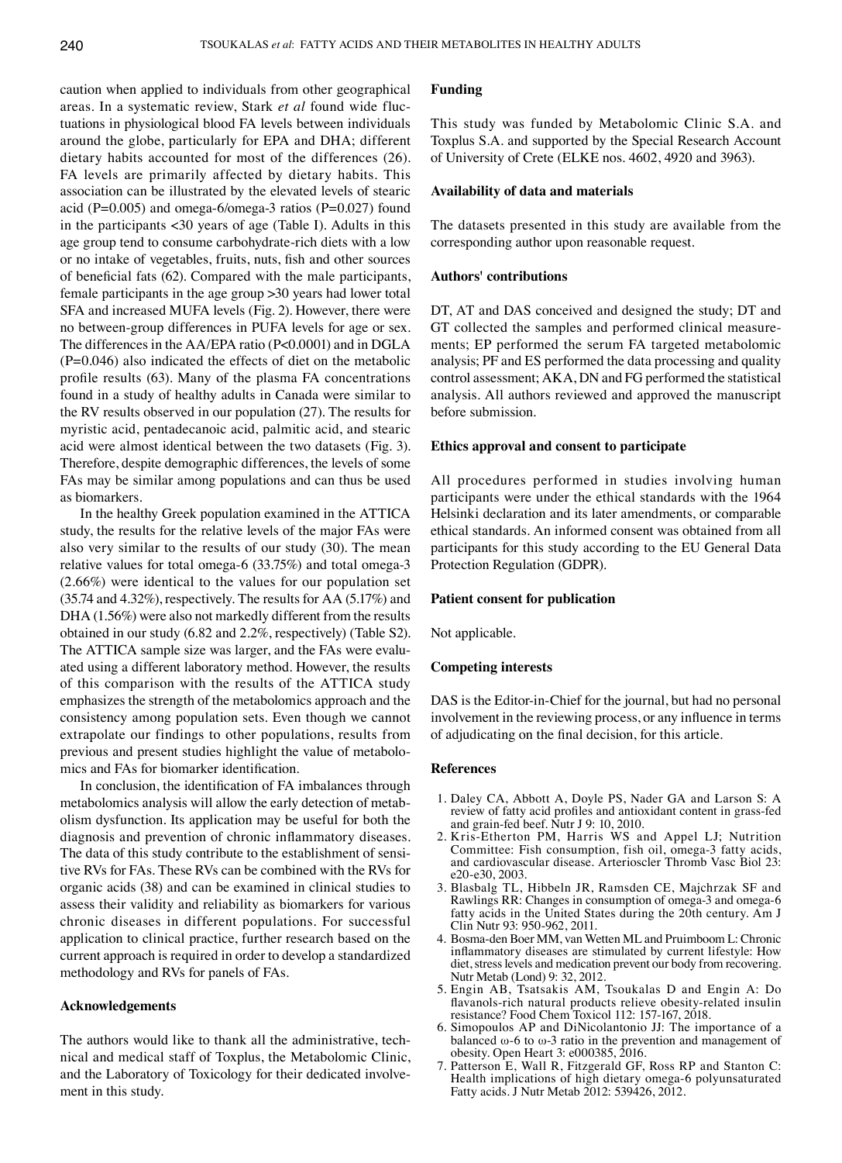caution when applied to individuals from other geographical areas. In a systematic review, Stark *et al* found wide fluctuations in physiological blood FA levels between individuals around the globe, particularly for EPA and DHA; different dietary habits accounted for most of the differences (26). FA levels are primarily affected by dietary habits. This association can be illustrated by the elevated levels of stearic acid (P=0.005) and omega-6/omega-3 ratios (P=0.027) found in the participants <30 years of age (Table I). Adults in this age group tend to consume carbohydrate-rich diets with a low or no intake of vegetables, fruits, nuts, fish and other sources of beneficial fats (62). Compared with the male participants, female participants in the age group >30 years had lower total SFA and increased MUFA levels (Fig. 2). However, there were no between-group differences in PUFA levels for age or sex. The differences in the AA/EPA ratio (P<0.0001) and in DGLA  $(P=0.046)$  also indicated the effects of diet on the metabolic profile results (63). Many of the plasma FA concentrations found in a study of healthy adults in Canada were similar to the RV results observed in our population (27). The results for myristic acid, pentadecanoic acid, palmitic acid, and stearic acid were almost identical between the two datasets (Fig. 3). Therefore, despite demographic differences, the levels of some FAs may be similar among populations and can thus be used as biomarkers.

In the healthy Greek population examined in the ATTICA study, the results for the relative levels of the major FAs were also very similar to the results of our study (30). The mean relative values for total omega-6 (33.75%) and total omega-3 (2.66%) were identical to the values for our population set (35.74 and 4.32%), respectively. The results for AA (5.17%) and DHA (1.56%) were also not markedly different from the results obtained in our study (6.82 and 2.2%, respectively) (Table S2). The ATTICA sample size was larger, and the FAs were evaluated using a different laboratory method. However, the results of this comparison with the results of the ATTICA study emphasizes the strength of the metabolomics approach and the consistency among population sets. Even though we cannot extrapolate our findings to other populations, results from previous and present studies highlight the value of metabolomics and FAs for biomarker identification.

In conclusion, the identification of FA imbalances through metabolomics analysis will allow the early detection of metabolism dysfunction. Its application may be useful for both the diagnosis and prevention of chronic inflammatory diseases. The data of this study contribute to the establishment of sensitive RVs for FAs. These RVs can be combined with the RVs for organic acids (38) and can be examined in clinical studies to assess their validity and reliability as biomarkers for various chronic diseases in different populations. For successful application to clinical practice, further research based on the current approach is required in order to develop a standardized methodology and RVs for panels of FAs.

## **Acknowledgements**

The authors would like to thank all the administrative, technical and medical staff of Toxplus, the Metabolomic Clinic, and the Laboratory of Toxicology for their dedicated involvement in this study.

## **Funding**

This study was funded by Metabolomic Clinic S.A. and Toxplus S.A. and supported by the Special Research Account of University of Crete (ELKE nos. 4602, 4920 and 3963).

#### **Availability of data and materials**

The datasets presented in this study are available from the corresponding author upon reasonable request.

## **Authors' contributions**

DT, AT and DAS conceived and designed the study; DT and GT collected the samples and performed clinical measurements; EP performed the serum FA targeted metabolomic analysis; PF and ES performed the data processing and quality control assessment; AKA, DN and FG performed the statistical analysis. All authors reviewed and approved the manuscript before submission.

## **Ethics approval and consent to participate**

All procedures performed in studies involving human participants were under the ethical standards with the 1964 Helsinki declaration and its later amendments, or comparable ethical standards. An informed consent was obtained from all participants for this study according to the EU General Data Protection Regulation (GDPR).

#### **Patient consent for publication**

Not applicable.

## **Competing interests**

DAS is the Editor-in-Chief for the journal, but had no personal involvement in the reviewing process, or any influence in terms of adjudicating on the final decision, for this article.

#### **References**

- 1. Daley CA, Abbott A, Doyle PS, Nader GA and Larson S: A review of fatty acid profiles and antioxidant content in grass-fed and grain-fed beef. Nutr J 9: 10, 2010.
- 2. Kris‑Etherton PM, Harris WS and Appel LJ; Nutrition Committee: Fish consumption, fish oil, omega-3 fatty acids, and cardiovascular disease. Arterioscler Thromb Vasc Biol 23: e20-e30, 2003.
- 3. Blasbalg TL, Hibbeln JR, Ramsden CE, Majchrzak SF and Rawlings RR: Changes in consumption of omega-3 and omega-6 fatty acids in the United States during the 20th century. Am J Clin Nutr 93: 950-962, 2011.
- 4. Bosma‑den Boer MM, van Wetten ML and Pruimboom L: Chronic inflammatory diseases are stimulated by current lifestyle: How diet, stress levels and medication prevent our body from recovering. Nutr Metab (Lond) 9: 32, 2012.
- 5. Engin AB, Tsatsakis AM, Tsoukalas D and Engin A: Do flavanols-rich natural products relieve obesity-related insulin resistance? Food Chem Toxicol 112: 157-167, 2018.
- 6. Simopoulos AP and DiNicolantonio JJ: The importance of a balanced ω-6 to ω-3 ratio in the prevention and management of obesity. Open Heart 3: e000385, 2016.
- 7. Patterson E, Wall R, Fitzgerald GF, Ross RP and Stanton C: Health implications of high dietary omega-6 polyunsaturated Fatty acids. J Nutr Metab 2012: 539426, 2012.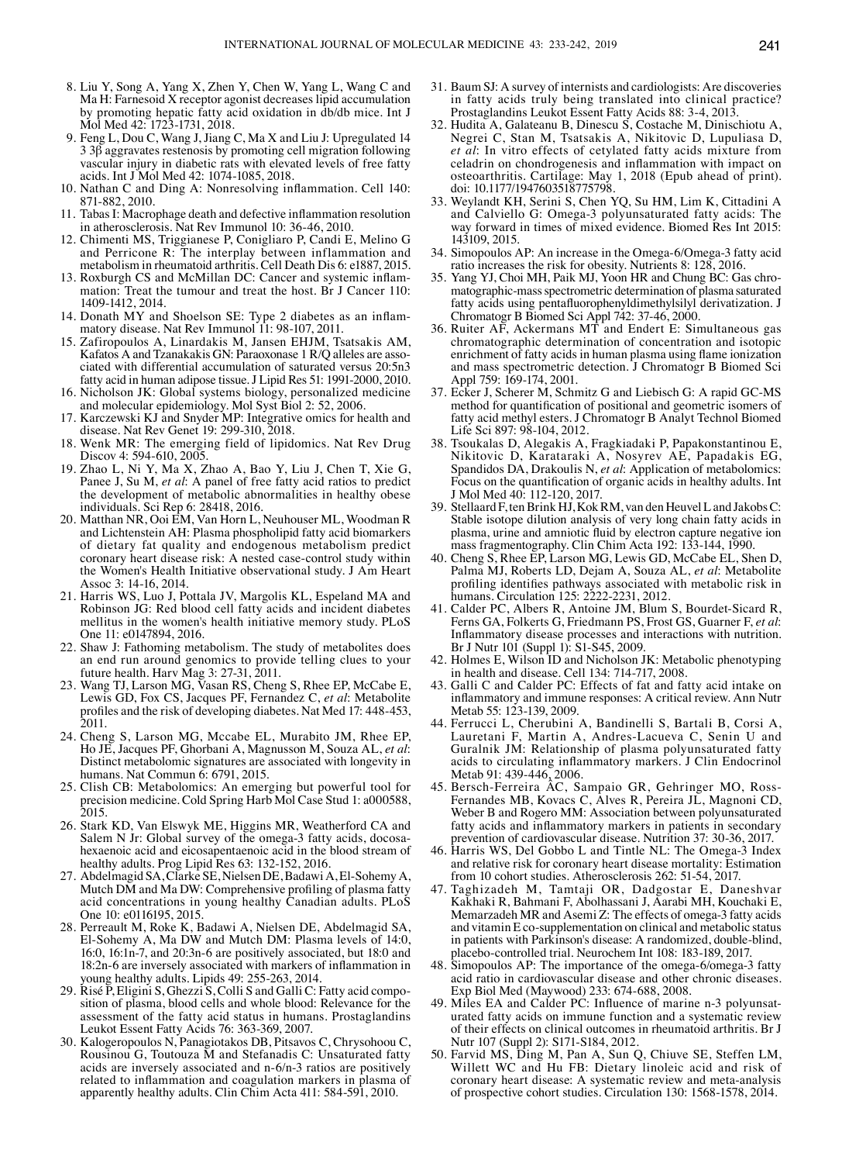- 8. Liu Y, Song A, Yang X, Zhen Y, Chen W, Yang L, Wang C and Ma H: Farnesoid X receptor agonist decreases lipid accumulation by promoting hepatic fatty acid oxidation in db/db mice. Int J Mol Med 42: 1723-1731, 2018.
- 9. Feng L, Dou C, Wang J, Jiang C, Ma X and Liu J: Upregulated 14 3 3β aggravates restenosis by promoting cell migration following vascular injury in diabetic rats with elevated levels of free fatty acids. Int J Mol Med 42: 1074-1085, 2018.
- 10. Nathan C and Ding A: Nonresolving inflammation. Cell 140: 871-882, 2010.
- 11. Tabas I: Macrophage death and defective inflammation resolution in atherosclerosis. Nat Rev Immunol 10: 36-46, 2010.
- 12. Chimenti MS, Triggianese P, Conigliaro P, Candi E, Melino G and Perricone R: The interplay between inflammation and metabolism in rheumatoid arthritis. Cell Death Dis 6: e1887, 2015.
- 13. Roxburgh CS and McMillan DC: Cancer and systemic inflammation: Treat the tumour and treat the host. Br J Cancer 110: 1409-1412, 2014.
- 14. Donath MY and Shoelson SE: Type 2 diabetes as an inflammatory disease. Nat Rev Immunol 11: 98-107, 2011.
- 15. Zafiropoulos A, Linardakis M, Jansen EHJM, Tsatsakis AM, Kafatos A and Tzanakakis GN: Paraoxonase 1 R/Q alleles are associated with differential accumulation of saturated versus 20:5n3 fatty acid in human adipose tissue. J Lipid Res 51: 1991-2000, 2010.
- 16. Nicholson JK: Global systems biology, personalized medicine and molecular epidemiology. Mol Syst Biol 2: 52, 2006.
- 17. Karczewski KJ and Snyder MP: Integrative omics for health and disease. Nat Rev Genet 19: 299-310, 2018.
- 18. Wenk MR: The emerging field of lipidomics. Nat Rev Drug Discov 4: 594-610, 2005.
- 19. Zhao L, Ni Y, Ma X, Zhao A, Bao Y, Liu J, Chen T, Xie G, Panee J, Su M, *et al*: A panel of free fatty acid ratios to predict the development of metabolic abnormalities in healthy obese individuals. Sci Rep 6: 28418, 2016.
- 20. Matthan NR, Ooi EM, Van Horn L, Neuhouser ML, Woodman R and Lichtenstein AH: Plasma phospholipid fatty acid biomarkers of dietary fat quality and endogenous metabolism predict coronary heart disease risk: A nested case-control study within the Women's Health Initiative observational study. J Am Heart Assoc 3: 14-16, 2014.
- 21. Harris WS, Luo J, Pottala JV, Margolis KL, Espeland MA and Robinson JG: Red blood cell fatty acids and incident diabetes mellitus in the women's health initiative memory study. PLoS One 11: e0147894, 2016.
- 22. Shaw J: Fathoming metabolism. The study of metabolites does an end run around genomics to provide telling clues to your future health. Harv Mag 3: 27-31, 2011.
- 23. Wang TJ, Larson MG, Vasan RS, Cheng S, Rhee EP, McCabe E, Lewis GD, Fox CS, Jacques PF, Fernandez C, *et al*: Metabolite profiles and the risk of developing diabetes. Nat Med 17: 448‑453, 2011.
- 24. Cheng S, Larson MG, Mccabe EL, Murabito JM, Rhee EP, Ho JE, Jacques PF, Ghorbani A, Magnusson M, Souza AL, *et al*: Distinct metabolomic signatures are associated with longevity in humans. Nat Commun 6: 6791, 2015.
- 25. Clish CB: Metabolomics: An emerging but powerful tool for precision medicine. Cold Spring Harb Mol Case Stud 1: a000588, 2015.
- 26. Stark KD, Van Elswyk ME, Higgins MR, Weatherford CA and Salem <sup>N</sup> Jr: Global survey of the omega-3 fatty acids, docosa- hexaenoic acid and eicosapentaenoic acid in the blood stream of healthy adults. Prog Lipid Res 63: 132-152, 2016.
- 27. Abdelmagid SA, Clarke SE, Nielsen DE, Badawi A, El-Sohemy A, Mutch DM and Ma DW: Comprehensive profiling of plasma fatty acid concentrations in young healthy Canadian adults. PLoS One 10: e0116195, 2015.
- 28. Perreault M, Roke K, Badawi A, Nielsen DE, Abdelmagid SA, El‑Sohemy A, Ma DW and Mutch DM: Plasma levels of 14:0, 16:0, 16:1n-7, and 20:3n-6 are positively associated, but 18:0 and 18:2n‑6 are inversely associated with markers of inflammation in young healthy adults. Lipids 49: 255-263, 2014.
- 29. Risé P, Eligini S, Ghezzi S, Colli S and Galli C: Fatty acid composition of plasma, blood cells and whole blood: Relevance for the assessment of the fatty acid status in humans. Prostaglandins Leukot Essent Fatty Acids 76: 363-369, 2007.
- 30. Kalogeropoulos N, Panagiotakos DB, Pitsavos C, Chrysohoou C, Rousinou G, Toutouza M and Stefanadis C: Unsaturated fatty acids are inversely associated and n-6/n-3 ratios are positively related to inflammation and coagulation markers in plasma of apparently healthy adults. Clin Chim Acta 411: 584-591, 2010.
- 31. Baum SJ: A survey of internists and cardiologists: Are discoveries in fatty acids truly being translated into clinical practice? Prostaglandins Leukot Essent Fatty Acids 88: 3-4, 2013.
- 32. Hudita A, Galateanu B, Dinescu S, Costache M, Dinischiotu A, Negrei C, Stan M, Tsatsakis A, Nikitovic D, Lupuliasa D, *et al*: In vitro effects of cetylated fatty acids mixture from celadrin on chondrogenesis and inflammation with impact on osteoarthritis. Cartilage: May 1, 2018 (Epub ahead of print). doi: 10.1177/1947603518775798.
- 33. Weylandt KH, Serini S, Chen YQ, Su HM, Lim K, Cittadini A and Calviello G: Omega-3 polyunsaturated fatty acids: The way forward in times of mixed evidence. Biomed Res Int 2015: 143109, 2015.
- 34. Simopoulos AP: An increase in the Omega-6/Omega-3 fatty acid ratio increases the risk for obesity. Nutrients 8: 128, 2016.
- 35. Yang YJ, Choi MH, Paik MJ, Yoon HR and Chung BC: Gas chromatographic-mass spectrometric determination of plasma saturated fatty acids using pentafluorophenyldimethylsilyl derivatization. J Chromatogr B Biomed Sci Appl 742: 37-46, 2000.
- 36. Ruiter AF, Ackermans MT and Endert E: Simultaneous gas chromatographic determination of concentration and isotopic enrichment of fatty acids in human plasma using flame ionization and mass spectrometric detection. J Chromatogr B Biomed Sci Appl 759: 169-174, 2001.
- 37. Ecker J, Scherer M, Schmitz G and Liebisch G: A rapid GC-MS method for quantification of positional and geometric isomers of fatty acid methyl esters. J Chromatogr B Analyt Technol Biomed Life Sci 897: 98-104, 2012.
- 38. Tsoukalas D, Alegakis A, Fragkiadaki P, Papakonstantinou E, Nikitovic D, Karataraki A, Nosyrev AE, Papadakis EG, Spandidos DA, Drakoulis N, *et al*: Application of metabolomics: Focus on the quantification of organic acids in healthy adults. Int J Mol Med 40: 112-120, 2017.
- 39. Stellaard F, ten Brink HJ, Kok RM, van den Heuvel L and JakobsC: Stable isotope dilution analysis of very long chain fatty acids in plasma, urine and amniotic fluid by electron capture negative ion mass fragmentography. Clin Chim Acta 192: 133-144, 1990.
- 40. Cheng S, Rhee EP, Larson MG, Lewis GD, McCabe EL, Shen D, Palma MJ, Roberts LD, Dejam A, Souza AL, *et al*: Metabolite profiling identifies pathways associated with metabolic risk in humans. Circulation 125: 2222-2231, 2012.
- 41. Calder PC, Albers R, Antoine JM, Blum S, Bourdet-Sicard R, Ferns GA, Folkerts G, Friedmann PS, Frost GS, Guarner F, *et al*: Inflammatory disease processes and interactions with nutrition. Br J Nutr 101 (Suppl 1): S1-S45, 2009.
- 42. Holmes E, Wilson ID and Nicholson JK: Metabolic phenotyping in health and disease. Cell 134: 714-717, 2008.
- 43. Galli C and Calder PC: Effects of fat and fatty acid intake on inflammatory and immune responses: A critical review. Ann Nutr Metab 55: 123-139, 2009.
- 44. Ferrucci L, Cherubini A, Bandinelli S, Bartali B, Corsi A, Lauretani F, Martin A, Andres-Lacueva C, Senin U and Guralnik JM: Relationship of plasma polyunsaturated fatty acids to circulating inflammatory markers. J Clin Endocrinol Metab 91: 439-446, 2006.
- 45. Bersch-Ferreira ÂC, Sampaio GR, Gehringer MO, Ross-Fernandes MB, Kovacs C, Alves R, Pereira JL, Magnoni CD, Weber B and Rogero MM: Association between polyunsaturated fatty acids and inflammatory markers in patients in secondary prevention of cardiovascular disease. Nutrition 37: 30-36, 2017.
- 46. Harris WS, Del Gobbo L and Tintle NL: The Omega‑3 Index and relative risk for coronary heart disease mortality: Estimation from 10 cohort studies. Atherosclerosis 262: 51-54, 2017.
- 47. Taghizadeh M, Tamtaji OR, Dadgostar E, Daneshvar Kakhaki R, Bahmani F, Abolhassani J, Aarabi MH, Kouchaki E, Memarzadeh MR and Asemi Z: The effects of omega-3 fatty acids and vitamin E co-supplementation on clinical and metabolic status in patients with Parkinson's disease: A randomized, double-blind, placebo-controlled trial. Neurochem Int 108: 183-189, 2017.
- 48. Simopoulos AP: The importance of the omega-6/omega-3 fatty acid ratio in cardiovascular disease and other chronic diseases. Exp Biol Med (Maywood) 233: 674-688, 2008.
- 49. Miles EA and Calder PC: Influence of marine n-3 polyunsaturated fatty acids on immune function and a systematic review of their effects on clinical outcomes in rheumatoid arthritis. Br J Nutr 107 (Suppl 2): S171-S184, 2012.
- 50. Farvid MS, Ding M, Pan A, Sun Q, Chiuve SE, Steffen LM, Willett WC and Hu FB: Dietary linoleic acid and risk of coronary heart disease: A systematic review and meta-analysis of prospective cohort studies. Circulation 130: 1568-1578, 2014.